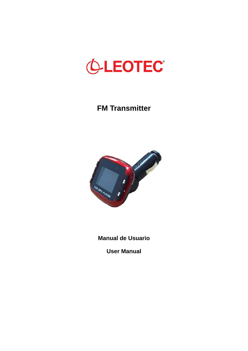

# **FM Transmitter**



**Manual de Usuario** 

**User Manual**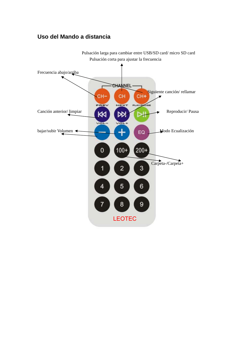## **Uso del Mando a distancia**



Pulsación larga para cambiar entre USB/SD card/ micro SD card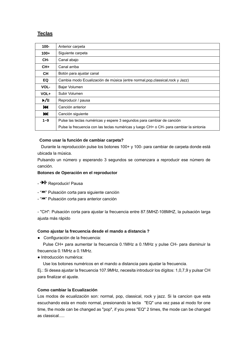### **Teclas**

| $100 -$   | Anterior carpeta                                                                        |
|-----------|-----------------------------------------------------------------------------------------|
| $100+$    | Siguiente carpeta                                                                       |
| CH-       | Canal abajo                                                                             |
| $CH+$     | Canal arriba                                                                            |
| <b>CH</b> | Botón para ajustar canal                                                                |
| EQ        | Cambia modo Ecualización de música (entre normal, pop, classical, rock y Jazz)          |
| VOL-      | Bajar Volumen                                                                           |
| VOL+      | Subir Volumen                                                                           |
| ▶/॥       | Reproducir / pausa                                                                      |
| K         | Canción anterior                                                                        |
| ÞЫ        | Canción siguiente                                                                       |
| $1 - 9$   | Pulse las teclas numéricas y espere 3 segundos para cambiar de canción                  |
|           | Pulse la frecuencia con las teclas numéricas y luego CH+ o CH- para cambiar la sintonia |

#### **Como usar la función de cambiar carpeta?**

 Durante la reproducción pulse los botones 100+ y 100- para cambiar de carpeta donde está ubicada la música.

Pulsando un número y esperando 3 segundos se comenzara a reproducir ese número de canción.

#### **Botones de Operación en el reproductor**

- "II" Reproducir/ Pausa
- "<sup>></sup> "<sup>></sup> Pulsación corta para siguiente canción
- " $M$ " Pulsación corta para anterior canción

- "CH": Pulsación corta para ajustar la frecuencia entre 87.5MHZ-108MHZ, la pulsación larga ajusta más rápido

#### **Como ajustar la frecuencia desde el mando a distancia ?**

● Configuración de la frecuencia:

 Pulse CH+ para aumentar la frecuencia 0.1MHz a 0.1MHz y pulse CH- para disminuir la frecuencia 0.1MHz a 0.1MHz.

● Introducción numérica:

Use los botones numéricos en el mando a distancia para ajustar la frecuencia.

Ej.: Si desea ajustar la frecuencia 107.9MHz, necesita introducir los dígitos: 1,0,7,9 y pulsar CH para finalizar el ajuste.

#### **Como cambiar la Ecualización**

Los modos de ecualización son: normal, pop, classical, rock y jazz. Si la cancion que esta escuchando esta en modo normal, presionando la tecla "EQ" una vez pasa al modo for one time, the mode can be changed as "pop", if you press "EQ" 2 times, the mode can be changed as classical.....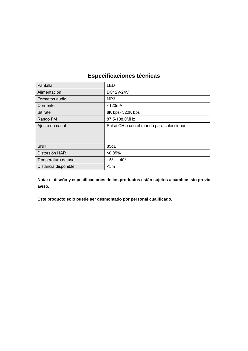## **Especificaciones técnicas**

| Pantalla             | LED                                      |
|----------------------|------------------------------------------|
| Alimentación         | <b>DC12V-24V</b>                         |
| Formatos audio       | MP <sub>3</sub>                          |
| Corriente            | $<$ 120 $mA$                             |
| <b>Bit rate</b>      | 8K bps-320K bps                          |
| Rango FM             | 87.5-108.0MHz                            |
| Ajuste de canal      | Pulse CH o use el mando para seleccionar |
|                      |                                          |
| <b>SNR</b>           | 85dB                                     |
| Distorsión HAR       | ≤0.05%                                   |
| Temperatura de uso   | $-5^{\circ}$ -----40°                    |
| Distancia disponible | $<$ 5m                                   |

**Nota: el diseño y especificaciones de los productos están sujetos a cambios sin previo aviso.** 

**Este producto solo puede ser desmontado por personal cualificado.**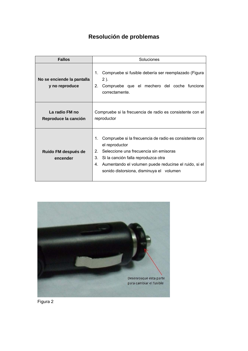# **Resolución de problemas**

| <b>Fallos</b>                                | Soluciones                                                                                                                                                                                                                                                                                            |
|----------------------------------------------|-------------------------------------------------------------------------------------------------------------------------------------------------------------------------------------------------------------------------------------------------------------------------------------------------------|
| No se enciende la pantalla<br>y no reproduce | Compruebe si fusible debería ser reemplazado (Figura<br>1.<br>$2$ ).<br>Compruebe que el mechero del coche funcione<br>2.<br>correctamente.                                                                                                                                                           |
| La radio FM no<br>Reproduce la canción       | Compruebe si la frecuencia de radio es consistente con el<br>reproductor                                                                                                                                                                                                                              |
| Ruido FM después de<br>encender              | Compruebe si la frecuencia de radio es consistente con<br>$1_{-}$<br>el reproductor<br>Seleccione una frecuencia sin emisoras<br>$2_{1}$<br>$3_{-}$<br>Si la canción falla reproduzca otra<br>Aumentando el volumen puede reducirse el ruido, si el<br>4.<br>sonido distorsiona, disminuya el volumen |



Figura 2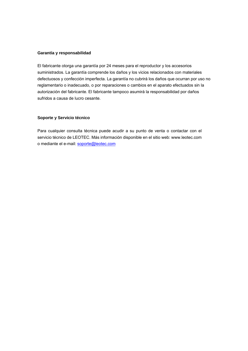#### **Garantía y responsabilidad**

El fabricante otorga una garantía por 24 meses para el reproductor y los accesorios suministrados. La garantía comprende los daños y los vicios relacionados con materiales defectuosos y confección imperfecta. La garantía no cubrirá los daños que ocurran por uso no reglamentario o inadecuado, o por reparaciones o cambios en el aparato efectuados sin la autorización del fabricante. El fabricante tampoco asumirá la responsabilidad por daños sufridos a causa de lucro cesante.

#### **Soporte y Servicio técnico**

Para cualquier consulta técnica puede acudir a su punto de venta o contactar con el servicio técnico de LEOTEC. Más información disponible en el sitio web: www.leotec.com o mediante el e-mail: soporte@leotec.com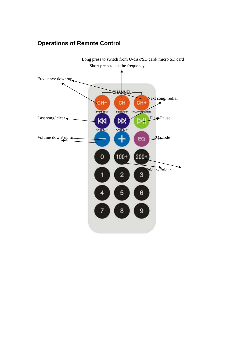# **Operations of Remote Control**

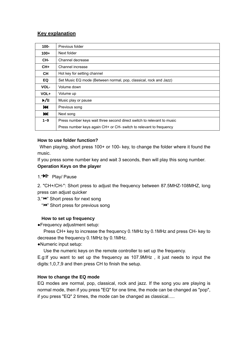## **Key explanation**

| $100 -$                   | Previous folder                                                        |
|---------------------------|------------------------------------------------------------------------|
| $100+$                    | Next folder                                                            |
| CH-                       | Channel decrease                                                       |
| $CH+$                     | Channel increase                                                       |
| <b>CH</b>                 | Hot key for setting channel                                            |
| EQ                        | Set Music EQ mode (Between normal, pop, classical, rock and Jazz)      |
| VOL-                      | Volume down                                                            |
| VOL+                      | Volume up                                                              |
| $\blacktriangleright$ /II | Music play or pause                                                    |
| К                         | Previous song                                                          |
| ы                         | Next song                                                              |
| $1 - 9$                   | Press number keys wait three second direct switch to relevant to music |
|                           | Press number keys again CH+ or CH- switch to relevant to frequency     |

### **How to use folder function?**

When playing, short press 100+ or 100- key, to change the folder where it found the music.

If you press some number key and wait 3 seconds, then will play this song number. **Operation Keys on the player** 

1."<sup>II</sup> Play/ Pause

2. "CH+/CH-": Short press to adjust the frequency between 87.5MHZ-108MHZ, long press can adjust quicker

3. "<sup>></sup>" Short press for next song

" $H$ <sup>"</sup> Short press for previous song

### **How to set up frequency**

●Frequency adjustment setup:

 Press CH+ key to increase the frequency 0.1MHz by 0.1MHz and press CH- key to decrease the frequency 0.1MHz by 0.1MHz.

●Numeric input setup:

Use the numeric keys on the remote controller to set up the frequency.

E.g:If you want to set up the frequency as 107.9MHz , it just needs to input the digits:1,0,7,9 and then press CH to finish the setup.

### **How to change the EQ mode**

EQ modes are normal, pop, classical, rock and jazz. If the song you are playing is normal mode, then if you press "EQ" for one time, the mode can be changed as "pop", if you press "EQ" 2 times, the mode can be changed as classical.....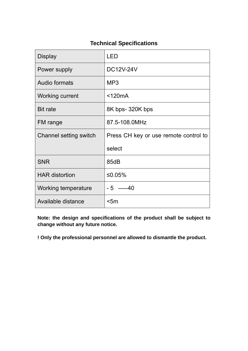## **Technical Specifications**

| <b>Display</b>         | I FD                                  |
|------------------------|---------------------------------------|
| Power supply           | <b>DC12V-24V</b>                      |
| Audio formats          | MP <sub>3</sub>                       |
| Working current        | $<$ 120 $mA$                          |
| <b>Bit rate</b>        | 8K bps-320K bps                       |
| FM range               | 87.5-108.0MHz                         |
| Channel setting switch |                                       |
|                        | Press CH key or use remote control to |
|                        | select                                |
| <b>SNR</b>             | 85dB                                  |
| <b>HAR distortion</b>  | ≤0.05%                                |
| Working temperature    | $-5$ -----40                          |

**Note: the design and specifications of the product shall be subject to change without any future notice.** 

**! Only the professional personnel are allowed to dismantle the product.**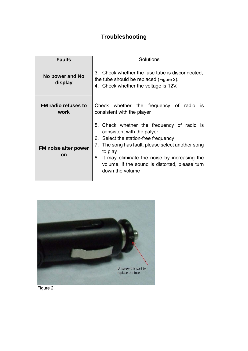# **Troubleshooting**

| <b>Faults</b>                            | Solutions                                                                                                                                                                                                                                                                                                |
|------------------------------------------|----------------------------------------------------------------------------------------------------------------------------------------------------------------------------------------------------------------------------------------------------------------------------------------------------------|
| No power and No<br>display               | 3. Check whether the fuse tube is disconnected.<br>the tube should be replaced (Figure 2).<br>4. Check whether the voltage is 12V.                                                                                                                                                                       |
| <b>FM radio refuses to</b><br>work       | Check whether the frequency of radio<br><b>IS</b><br>consistent with the player                                                                                                                                                                                                                          |
| <b>FM noise after power</b><br><b>on</b> | 5. Check whether the frequency of radio is<br>consistent with the palyer<br>6. Select the station-free frequency<br>7. The song has fault, please select another song<br>to play<br>8. It may eliminate the noise by increasing the<br>volume, if the sound is distorted, please turn<br>down the volume |



Figure 2